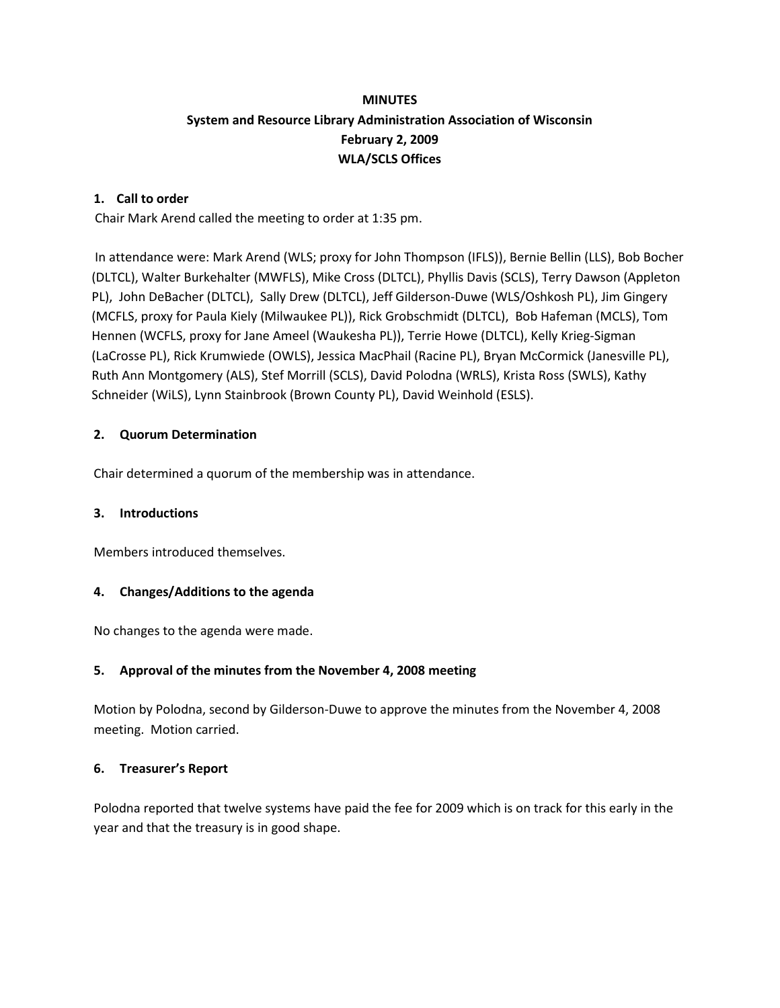# **MINUTES System and Resource Library Administration Association of Wisconsin February 2, 2009 WLA/SCLS Offices**

# **1. Call to order**

Chair Mark Arend called the meeting to order at 1:35 pm.

In attendance were: Mark Arend (WLS; proxy for John Thompson (IFLS)), Bernie Bellin (LLS), Bob Bocher (DLTCL), Walter Burkehalter (MWFLS), Mike Cross (DLTCL), Phyllis Davis (SCLS), Terry Dawson (Appleton PL), John DeBacher (DLTCL), Sally Drew (DLTCL), Jeff Gilderson-Duwe (WLS/Oshkosh PL), Jim Gingery (MCFLS, proxy for Paula Kiely (Milwaukee PL)), Rick Grobschmidt (DLTCL), Bob Hafeman (MCLS), Tom Hennen (WCFLS, proxy for Jane Ameel (Waukesha PL)), Terrie Howe (DLTCL), Kelly Krieg-Sigman (LaCrosse PL), Rick Krumwiede (OWLS), Jessica MacPhail (Racine PL), Bryan McCormick (Janesville PL), Ruth Ann Montgomery (ALS), Stef Morrill (SCLS), David Polodna (WRLS), Krista Ross (SWLS), Kathy Schneider (WiLS), Lynn Stainbrook (Brown County PL), David Weinhold (ESLS).

## **2. Quorum Determination**

Chair determined a quorum of the membership was in attendance.

#### **3. Introductions**

Members introduced themselves.

#### **4. Changes/Additions to the agenda**

No changes to the agenda were made.

#### **5. Approval of the minutes from the November 4, 2008 meeting**

Motion by Polodna, second by Gilderson-Duwe to approve the minutes from the November 4, 2008 meeting. Motion carried.

#### **6. Treasurer's Report**

Polodna reported that twelve systems have paid the fee for 2009 which is on track for this early in the year and that the treasury is in good shape.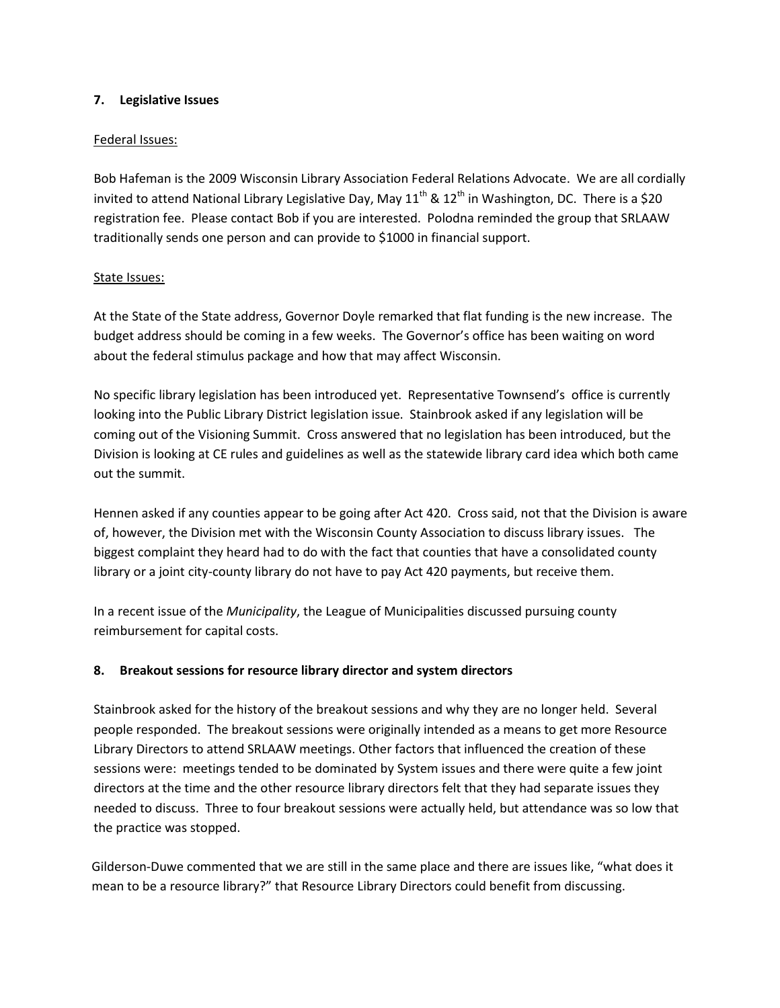## **7. Legislative Issues**

## Federal Issues:

Bob Hafeman is the 2009 Wisconsin Library Association Federal Relations Advocate. We are all cordially invited to attend National Library Legislative Day, May  $11^{th}$  &  $12^{th}$  in Washington, DC. There is a \$20 registration fee. Please contact Bob if you are interested. Polodna reminded the group that SRLAAW traditionally sends one person and can provide to \$1000 in financial support.

## State Issues:

At the State of the State address, Governor Doyle remarked that flat funding is the new increase. The budget address should be coming in a few weeks. The Governor's office has been waiting on word about the federal stimulus package and how that may affect Wisconsin.

No specific library legislation has been introduced yet. Representative Townsend's office is currently looking into the Public Library District legislation issue. Stainbrook asked if any legislation will be coming out of the Visioning Summit. Cross answered that no legislation has been introduced, but the Division is looking at CE rules and guidelines as well as the statewide library card idea which both came out the summit.

Hennen asked if any counties appear to be going after Act 420. Cross said, not that the Division is aware of, however, the Division met with the Wisconsin County Association to discuss library issues. The biggest complaint they heard had to do with the fact that counties that have a consolidated county library or a joint city-county library do not have to pay Act 420 payments, but receive them.

In a recent issue of the *Municipality*, the League of Municipalities discussed pursuing county reimbursement for capital costs.

# **8. Breakout sessions for resource library director and system directors**

Stainbrook asked for the history of the breakout sessions and why they are no longer held. Several people responded. The breakout sessions were originally intended as a means to get more Resource Library Directors to attend SRLAAW meetings. Other factors that influenced the creation of these sessions were: meetings tended to be dominated by System issues and there were quite a few joint directors at the time and the other resource library directors felt that they had separate issues they needed to discuss. Three to four breakout sessions were actually held, but attendance was so low that the practice was stopped.

Gilderson-Duwe commented that we are still in the same place and there are issues like, "what does it mean to be a resource library?" that Resource Library Directors could benefit from discussing.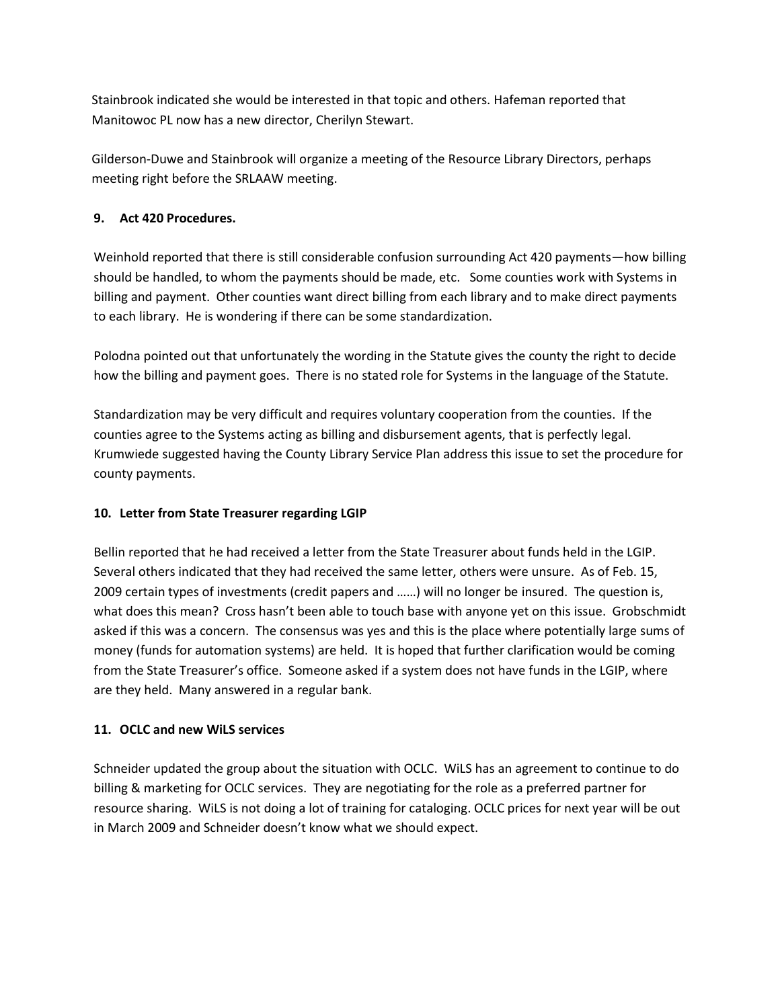Stainbrook indicated she would be interested in that topic and others. Hafeman reported that Manitowoc PL now has a new director, Cherilyn Stewart.

Gilderson-Duwe and Stainbrook will organize a meeting of the Resource Library Directors, perhaps meeting right before the SRLAAW meeting.

# **9. Act 420 Procedures.**

Weinhold reported that there is still considerable confusion surrounding Act 420 payments—how billing should be handled, to whom the payments should be made, etc. Some counties work with Systems in billing and payment. Other counties want direct billing from each library and to make direct payments to each library. He is wondering if there can be some standardization.

Polodna pointed out that unfortunately the wording in the Statute gives the county the right to decide how the billing and payment goes. There is no stated role for Systems in the language of the Statute.

Standardization may be very difficult and requires voluntary cooperation from the counties. If the counties agree to the Systems acting as billing and disbursement agents, that is perfectly legal. Krumwiede suggested having the County Library Service Plan address this issue to set the procedure for county payments.

# **10. Letter from State Treasurer regarding LGIP**

Bellin reported that he had received a letter from the State Treasurer about funds held in the LGIP. Several others indicated that they had received the same letter, others were unsure. As of Feb. 15, 2009 certain types of investments (credit papers and ……) will no longer be insured. The question is, what does this mean? Cross hasn't been able to touch base with anyone yet on this issue. Grobschmidt asked if this was a concern. The consensus was yes and this is the place where potentially large sums of money (funds for automation systems) are held. It is hoped that further clarification would be coming from the State Treasurer's office. Someone asked if a system does not have funds in the LGIP, where are they held. Many answered in a regular bank.

# **11. OCLC and new WiLS services**

Schneider updated the group about the situation with OCLC. WiLS has an agreement to continue to do billing & marketing for OCLC services. They are negotiating for the role as a preferred partner for resource sharing. WiLS is not doing a lot of training for cataloging. OCLC prices for next year will be out in March 2009 and Schneider doesn't know what we should expect.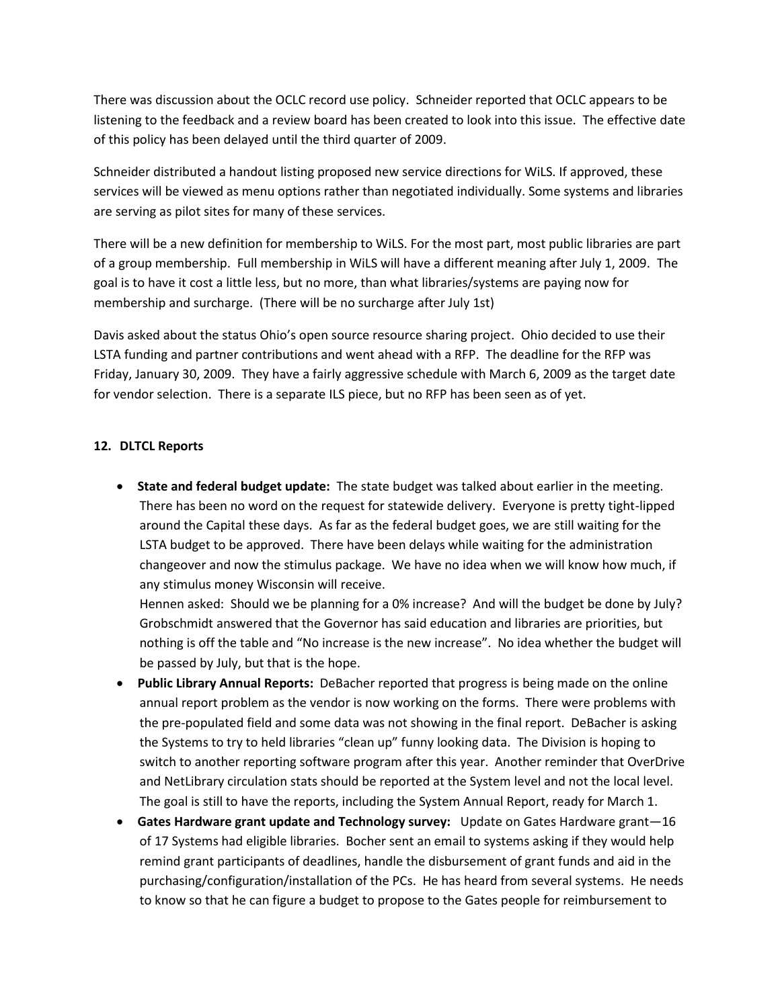There was discussion about the OCLC record use policy. Schneider reported that OCLC appears to be listening to the feedback and a review board has been created to look into this issue. The effective date of this policy has been delayed until the third quarter of 2009.

Schneider distributed a handout listing proposed new service directions for WiLS. If approved, these services will be viewed as menu options rather than negotiated individually. Some systems and libraries are serving as pilot sites for many of these services.

There will be a new definition for membership to WiLS. For the most part, most public libraries are part of a group membership. Full membership in WiLS will have a different meaning after July 1, 2009. The goal is to have it cost a little less, but no more, than what libraries/systems are paying now for membership and surcharge. (There will be no surcharge after July 1st)

Davis asked about the status Ohio's open source resource sharing project. Ohio decided to use their LSTA funding and partner contributions and went ahead with a RFP. The deadline for the RFP was Friday, January 30, 2009. They have a fairly aggressive schedule with March 6, 2009 as the target date for vendor selection. There is a separate ILS piece, but no RFP has been seen as of yet.

#### **12. DLTCL Reports**

 **State and federal budget update:** The state budget was talked about earlier in the meeting. There has been no word on the request for statewide delivery. Everyone is pretty tight-lipped around the Capital these days. As far as the federal budget goes, we are still waiting for the LSTA budget to be approved. There have been delays while waiting for the administration changeover and now the stimulus package. We have no idea when we will know how much, if any stimulus money Wisconsin will receive.

Hennen asked: Should we be planning for a 0% increase? And will the budget be done by July? Grobschmidt answered that the Governor has said education and libraries are priorities, but nothing is off the table and "No increase is the new increase". No idea whether the budget will be passed by July, but that is the hope.

- **Public Library Annual Reports:** DeBacher reported that progress is being made on the online annual report problem as the vendor is now working on the forms. There were problems with the pre-populated field and some data was not showing in the final report. DeBacher is asking the Systems to try to held libraries "clean up" funny looking data. The Division is hoping to switch to another reporting software program after this year. Another reminder that OverDrive and NetLibrary circulation stats should be reported at the System level and not the local level. The goal is still to have the reports, including the System Annual Report, ready for March 1.
- **Gates Hardware grant update and Technology survey:** Update on Gates Hardware grant—16 of 17 Systems had eligible libraries. Bocher sent an email to systems asking if they would help remind grant participants of deadlines, handle the disbursement of grant funds and aid in the purchasing/configuration/installation of the PCs. He has heard from several systems. He needs to know so that he can figure a budget to propose to the Gates people for reimbursement to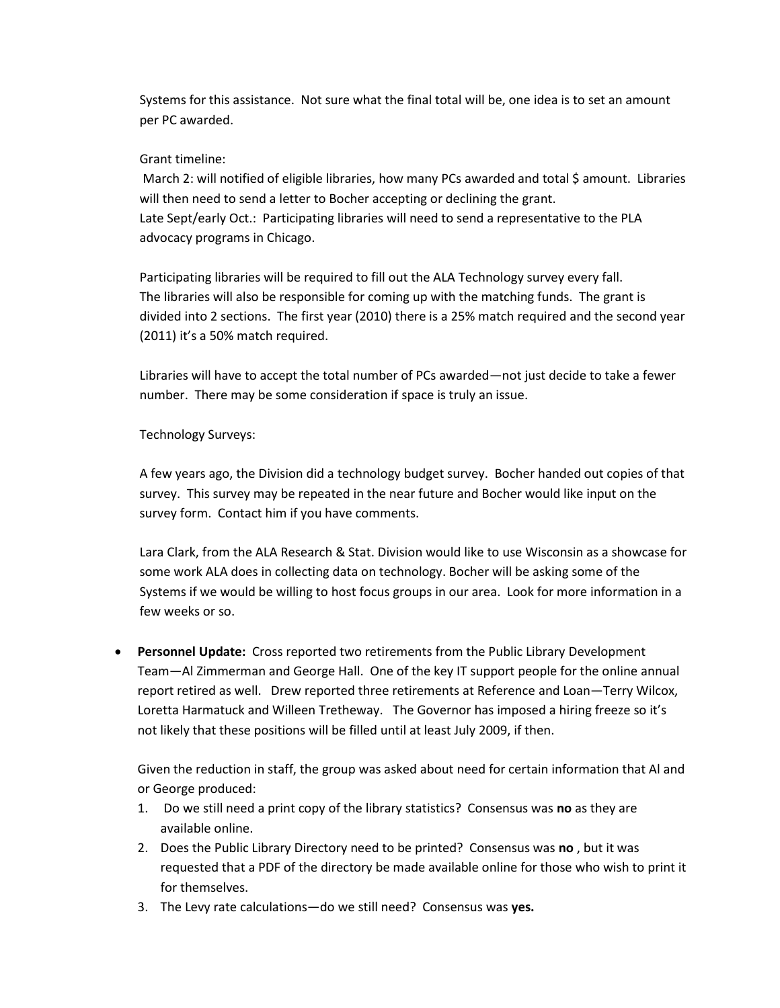Systems for this assistance. Not sure what the final total will be, one idea is to set an amount per PC awarded.

## Grant timeline:

March 2: will notified of eligible libraries, how many PCs awarded and total \$ amount. Libraries will then need to send a letter to Bocher accepting or declining the grant. Late Sept/early Oct.: Participating libraries will need to send a representative to the PLA advocacy programs in Chicago.

Participating libraries will be required to fill out the ALA Technology survey every fall. The libraries will also be responsible for coming up with the matching funds. The grant is divided into 2 sections. The first year (2010) there is a 25% match required and the second year (2011) it's a 50% match required.

Libraries will have to accept the total number of PCs awarded—not just decide to take a fewer number. There may be some consideration if space is truly an issue.

## Technology Surveys:

A few years ago, the Division did a technology budget survey. Bocher handed out copies of that survey. This survey may be repeated in the near future and Bocher would like input on the survey form. Contact him if you have comments.

Lara Clark, from the ALA Research & Stat. Division would like to use Wisconsin as a showcase for some work ALA does in collecting data on technology. Bocher will be asking some of the Systems if we would be willing to host focus groups in our area. Look for more information in a few weeks or so.

 **Personnel Update:** Cross reported two retirements from the Public Library Development Team—Al Zimmerman and George Hall. One of the key IT support people for the online annual report retired as well. Drew reported three retirements at Reference and Loan—Terry Wilcox, Loretta Harmatuck and Willeen Tretheway. The Governor has imposed a hiring freeze so it's not likely that these positions will be filled until at least July 2009, if then.

Given the reduction in staff, the group was asked about need for certain information that Al and or George produced:

- 1. Do we still need a print copy of the library statistics? Consensus was **no** as they are available online.
- 2. Does the Public Library Directory need to be printed? Consensus was **no** , but it was requested that a PDF of the directory be made available online for those who wish to print it for themselves.
- 3. The Levy rate calculations—do we still need? Consensus was **yes.**